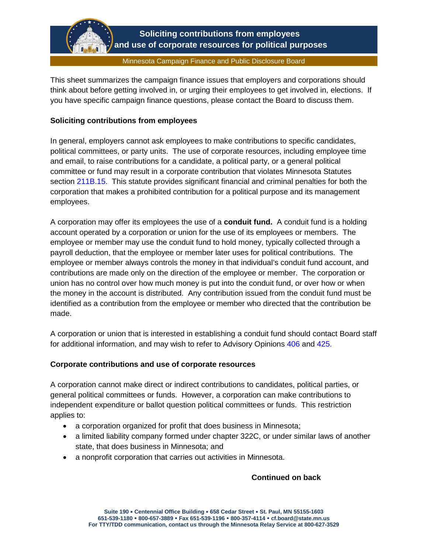

This sheet summarizes the campaign finance issues that employers and corporations should think about before getting involved in, or urging their employees to get involved in, elections. If you have specific campaign finance questions, please contact the Board to discuss them.

## **Soliciting contributions from employees**

In general, employers cannot ask employees to make contributions to specific candidates, political committees, or party units. The use of corporate resources, including employee time and email, to raise contributions for a candidate, a political party, or a general political committee or fund may result in a corporate contribution that violates Minnesota Statutes section [211B.15.](https://www.revisor.mn.gov/statutes/cite/211B.15) This statute provides significant financial and criminal penalties for both the corporation that makes a prohibited contribution for a political purpose and its management employees.

A corporation may offer its employees the use of a **conduit fund.** A conduit fund is a holding account operated by a corporation or union for the use of its employees or members. The employee or member may use the conduit fund to hold money, typically collected through a payroll deduction, that the employee or member later uses for political contributions. The employee or member always controls the money in that individual's conduit fund account, and contributions are made only on the direction of the employee or member. The corporation or union has no control over how much money is put into the conduit fund, or over how or when the money in the account is distributed. Any contribution issued from the conduit fund must be identified as a contribution from the employee or member who directed that the contribution be made.

A corporation or union that is interested in establishing a conduit fund should contact Board staff for additional information, and may wish to refer to Advisory Opinions [406](https://cfb.mn.gov/pdf/advisory_opinions/AO406.pdf) and [425.](https://cfb.mn.gov/pdf/advisory_opinions/AO425.pdf) 

### **Corporate contributions and use of corporate resources**

A corporation cannot make direct or indirect contributions to candidates, political parties, or general political committees or funds. However, a corporation can make contributions to independent expenditure or ballot question political committees or funds. This restriction applies to:

- a corporation organized for profit that does business in Minnesota;
- a limited liability company formed under chapter 322C, or under similar laws of another state, that does business in Minnesota; and
- a nonprofit corporation that carries out activities in Minnesota.

# **Continued on back**